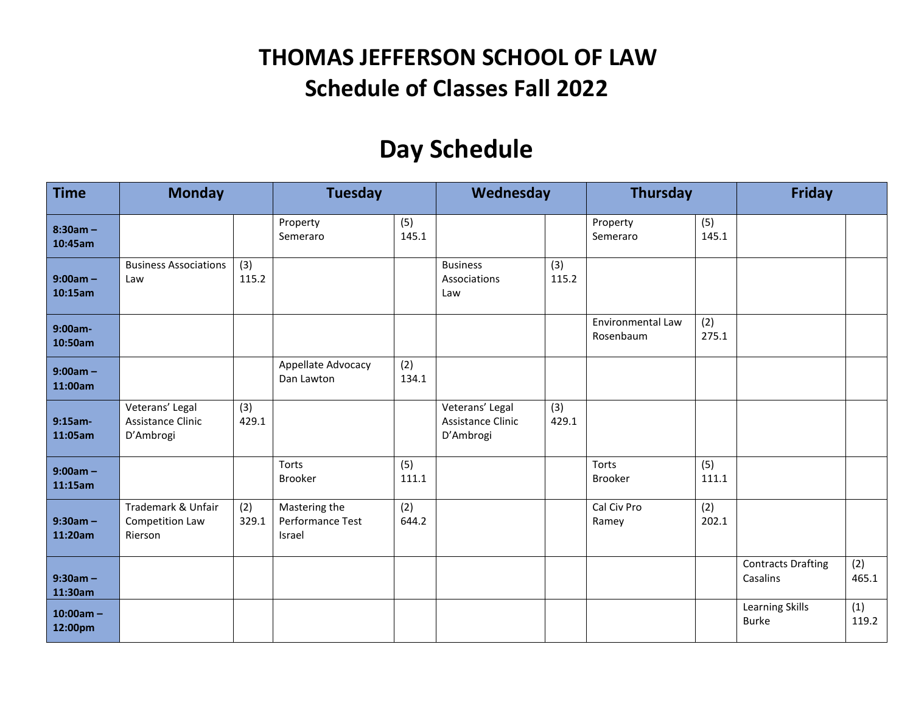## **THOMAS JEFFERSON SCHOOL OF LAW Schedule of Classes Fall 2022**

## **Day Schedule**

| <b>Time</b>            | <b>Monday</b>                                     |              | <b>Tuesday</b>                              |              | Wednesday                                         |              | <b>Thursday</b>                |              | <b>Friday</b>                         |              |
|------------------------|---------------------------------------------------|--------------|---------------------------------------------|--------------|---------------------------------------------------|--------------|--------------------------------|--------------|---------------------------------------|--------------|
| $8:30am -$<br>10:45am  |                                                   |              | Property<br>Semeraro                        | (5)<br>145.1 |                                                   |              | Property<br>Semeraro           | (5)<br>145.1 |                                       |              |
| $9:00am -$<br>10:15am  | <b>Business Associations</b><br>Law               | (3)<br>115.2 |                                             |              | <b>Business</b><br>Associations<br>Law            | (3)<br>115.2 |                                |              |                                       |              |
| 9:00am-<br>10:50am     |                                                   |              |                                             |              |                                                   |              | Environmental Law<br>Rosenbaum | (2)<br>275.1 |                                       |              |
| $9:00am -$<br>11:00am  |                                                   |              | Appellate Advocacy<br>Dan Lawton            | (2)<br>134.1 |                                                   |              |                                |              |                                       |              |
| $9:15am -$<br>11:05am  | Veterans' Legal<br>Assistance Clinic<br>D'Ambrogi | (3)<br>429.1 |                                             |              | Veterans' Legal<br>Assistance Clinic<br>D'Ambrogi | (3)<br>429.1 |                                |              |                                       |              |
| $9:00am -$<br>11:15am  |                                                   |              | Torts<br>Brooker                            | (5)<br>111.1 |                                                   |              | Torts<br><b>Brooker</b>        | (5)<br>111.1 |                                       |              |
| $9:30am -$<br>11:20am  | Trademark & Unfair<br>Competition Law<br>Rierson  | (2)<br>329.1 | Mastering the<br>Performance Test<br>Israel | (2)<br>644.2 |                                                   |              | Cal Civ Pro<br>Ramey           | (2)<br>202.1 |                                       |              |
| $9:30am -$<br>11:30am  |                                                   |              |                                             |              |                                                   |              |                                |              | <b>Contracts Drafting</b><br>Casalins | (2)<br>465.1 |
| $10:00am -$<br>12:00pm |                                                   |              |                                             |              |                                                   |              |                                |              | Learning Skills<br><b>Burke</b>       | (1)<br>119.2 |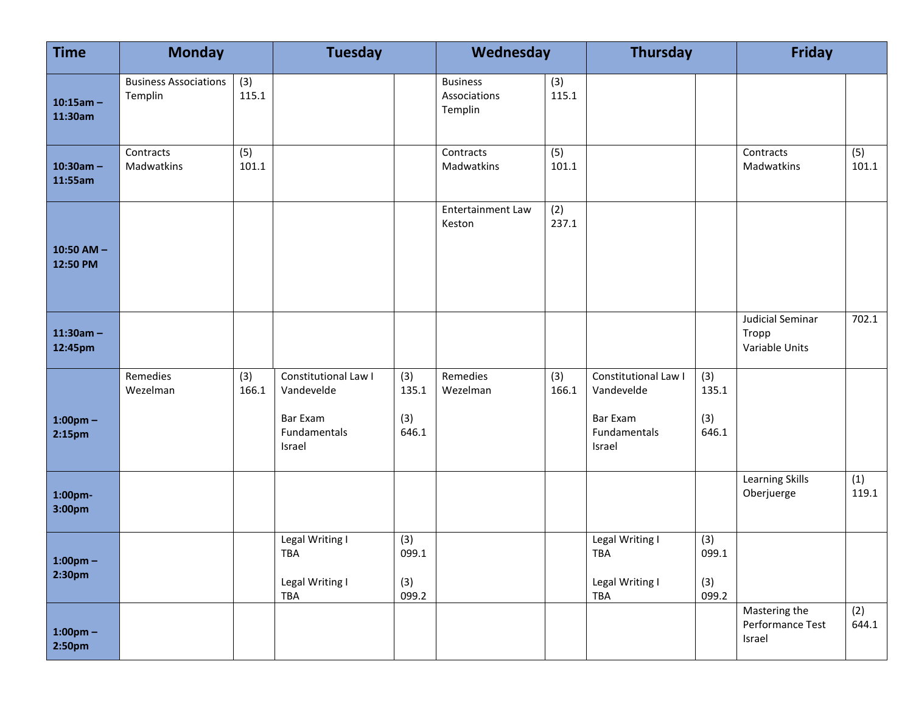| <b>Time</b>                         | <b>Monday</b>                           |              | <b>Tuesday</b>                                                           |                              | Wednesday                                  |              | <b>Thursday</b>                                                                 |                              | <b>Friday</b>                               |              |
|-------------------------------------|-----------------------------------------|--------------|--------------------------------------------------------------------------|------------------------------|--------------------------------------------|--------------|---------------------------------------------------------------------------------|------------------------------|---------------------------------------------|--------------|
| $10:15am -$<br>11:30am              | <b>Business Associations</b><br>Templin | (3)<br>115.1 |                                                                          |                              | <b>Business</b><br>Associations<br>Templin | (3)<br>115.1 |                                                                                 |                              |                                             |              |
| $10:30am -$<br>11:55am              | Contracts<br>Madwatkins                 | (5)<br>101.1 |                                                                          |                              | Contracts<br>Madwatkins                    | (5)<br>101.1 |                                                                                 |                              | Contracts<br>Madwatkins                     | (5)<br>101.1 |
| 10:50 AM $-$<br>12:50 PM            |                                         |              |                                                                          |                              | <b>Entertainment Law</b><br>Keston         | (2)<br>237.1 |                                                                                 |                              |                                             |              |
| $11:30am -$<br>12:45pm              |                                         |              |                                                                          |                              |                                            |              |                                                                                 |                              | Judicial Seminar<br>Tropp<br>Variable Units | 702.1        |
| $1:00$ pm $-$<br>2:15 <sub>pm</sub> | Remedies<br>Wezelman                    | (3)<br>166.1 | Constitutional Law I<br>Vandevelde<br>Bar Exam<br>Fundamentals<br>Israel | (3)<br>135.1<br>(3)<br>646.1 | Remedies<br>Wezelman                       | (3)<br>166.1 | Constitutional Law I<br>Vandevelde<br><b>Bar Exam</b><br>Fundamentals<br>Israel | (3)<br>135.1<br>(3)<br>646.1 |                                             |              |
| 1:00pm-<br>3:00pm                   |                                         |              |                                                                          |                              |                                            |              |                                                                                 |                              | Learning Skills<br>Oberjuerge               | (1)<br>119.1 |
| $1:00$ pm $-$<br>2:30 <sub>pm</sub> |                                         |              | Legal Writing I<br>TBA<br>Legal Writing I<br>TBA                         | (3)<br>099.1<br>(3)<br>099.2 |                                            |              | Legal Writing I<br>TBA<br>Legal Writing I<br>TBA                                | (3)<br>099.1<br>(3)<br>099.2 |                                             |              |
| $1:00$ pm $-$<br>2:50pm             |                                         |              |                                                                          |                              |                                            |              |                                                                                 |                              | Mastering the<br>Performance Test<br>Israel | (2)<br>644.1 |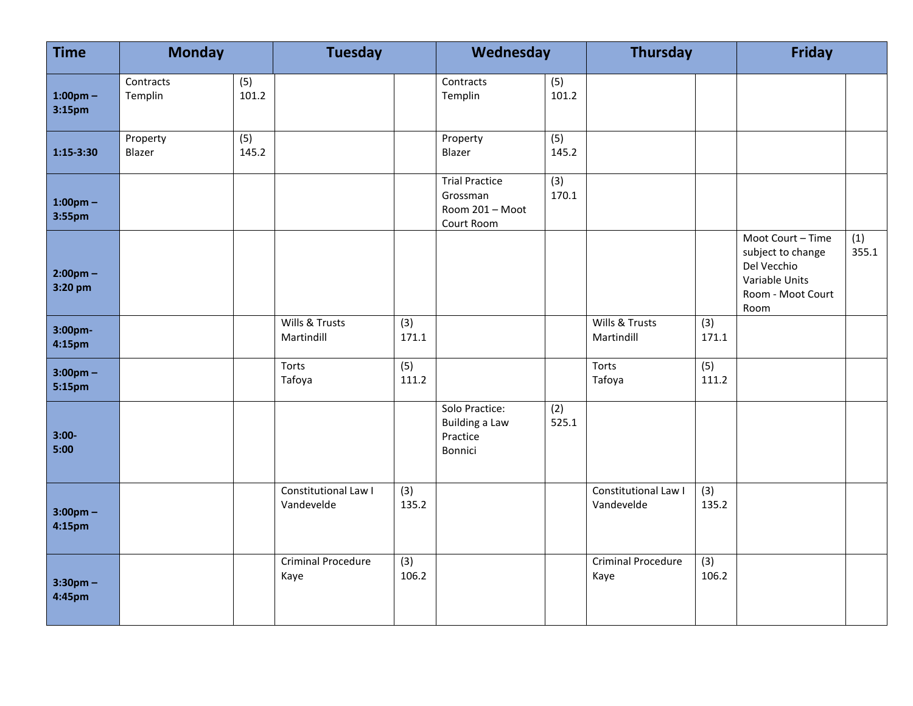| <b>Time</b>                         | <b>Monday</b>        |              | <b>Tuesday</b>                     |                           | Wednesday                                                          |              | <b>Thursday</b>                    |                           | <b>Friday</b>                                                                                        |              |
|-------------------------------------|----------------------|--------------|------------------------------------|---------------------------|--------------------------------------------------------------------|--------------|------------------------------------|---------------------------|------------------------------------------------------------------------------------------------------|--------------|
| $1:00$ pm $-$<br>3:15 <sub>pm</sub> | Contracts<br>Templin | (5)<br>101.2 |                                    |                           | Contracts<br>Templin                                               | (5)<br>101.2 |                                    |                           |                                                                                                      |              |
| $1:15-3:30$                         | Property<br>Blazer   | (5)<br>145.2 |                                    |                           | Property<br>Blazer                                                 | (5)<br>145.2 |                                    |                           |                                                                                                      |              |
| $1:00$ pm $-$<br>3:55pm             |                      |              |                                    |                           | <b>Trial Practice</b><br>Grossman<br>Room 201 - Moot<br>Court Room | (3)<br>170.1 |                                    |                           |                                                                                                      |              |
| $2:00$ pm –<br>3:20 pm              |                      |              |                                    |                           |                                                                    |              |                                    |                           | Moot Court - Time<br>subject to change<br>Del Vecchio<br>Variable Units<br>Room - Moot Court<br>Room | (1)<br>355.1 |
| 3:00pm-<br>4:15pm                   |                      |              | Wills & Trusts<br>Martindill       | (3)<br>171.1              |                                                                    |              | Wills & Trusts<br>Martindill       | (3)<br>171.1              |                                                                                                      |              |
| $3:00$ pm –<br>5:15pm               |                      |              | Torts<br>Tafoya                    | $\overline{(5)}$<br>111.2 |                                                                    |              | Torts<br>Tafoya                    | $\overline{(5)}$<br>111.2 |                                                                                                      |              |
| $3:00-$<br>5:00                     |                      |              |                                    |                           | Solo Practice:<br><b>Building a Law</b><br>Practice<br>Bonnici     | (2)<br>525.1 |                                    |                           |                                                                                                      |              |
| $3:00 \text{pm} -$<br>4:15pm        |                      |              | Constitutional Law I<br>Vandevelde | $\overline{3)}$<br>135.2  |                                                                    |              | Constitutional Law I<br>Vandevelde | $\overline{3)}$<br>135.2  |                                                                                                      |              |
| $3:30$ pm –<br>4:45pm               |                      |              | <b>Criminal Procedure</b><br>Kaye  | $\overline{(3)}$<br>106.2 |                                                                    |              | Criminal Procedure<br>Kaye         | $\overline{3)}$<br>106.2  |                                                                                                      |              |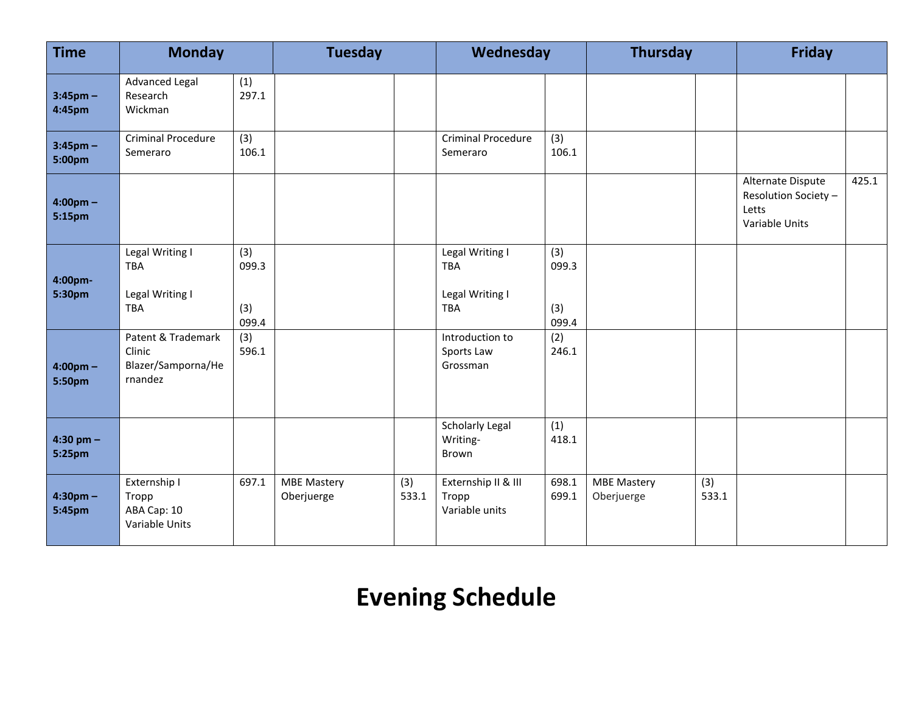| <b>Time</b>                  | <b>Monday</b>                                                  |                              | <b>Tuesday</b>                   |              |                                                                | Wednesday                    |                                  |              | <b>Friday</b>                                                        |       |
|------------------------------|----------------------------------------------------------------|------------------------------|----------------------------------|--------------|----------------------------------------------------------------|------------------------------|----------------------------------|--------------|----------------------------------------------------------------------|-------|
| $3:45$ pm –<br>4:45pm        | <b>Advanced Legal</b><br>Research<br>Wickman                   | (1)<br>297.1                 |                                  |              |                                                                |                              |                                  |              |                                                                      |       |
| $3:45$ pm $-$<br>5:00pm      | Criminal Procedure<br>Semeraro                                 | (3)<br>106.1                 |                                  |              | <b>Criminal Procedure</b><br>Semeraro                          | (3)<br>106.1                 |                                  |              |                                                                      |       |
| $4:00 \text{pm} -$<br>5:15pm |                                                                |                              |                                  |              |                                                                |                              |                                  |              | Alternate Dispute<br>Resolution Society -<br>Letts<br>Variable Units | 425.1 |
| 4:00pm-<br>5:30pm            | Legal Writing I<br><b>TBA</b><br>Legal Writing I<br><b>TBA</b> | (3)<br>099.3<br>(3)<br>099.4 |                                  |              | Legal Writing I<br><b>TBA</b><br>Legal Writing I<br><b>TBA</b> | (3)<br>099.3<br>(3)<br>099.4 |                                  |              |                                                                      |       |
| $4:00 \text{pm} -$<br>5:50pm | Patent & Trademark<br>Clinic<br>Blazer/Samporna/He<br>rnandez  | (3)<br>596.1                 |                                  |              | Introduction to<br>Sports Law<br>Grossman                      | (2)<br>246.1                 |                                  |              |                                                                      |       |
| 4:30 pm $-$<br>5:25pm        |                                                                |                              |                                  |              | <b>Scholarly Legal</b><br>Writing-<br><b>Brown</b>             | (1)<br>418.1                 |                                  |              |                                                                      |       |
| $4:30pm$ -<br>5:45pm         | Externship I<br>Tropp<br>ABA Cap: 10<br>Variable Units         | 697.1                        | <b>MBE Mastery</b><br>Oberjuerge | (3)<br>533.1 | Externship II & III<br>Tropp<br>Variable units                 | 698.1<br>699.1               | <b>MBE Mastery</b><br>Oberjuerge | (3)<br>533.1 |                                                                      |       |

## **Evening Schedule**